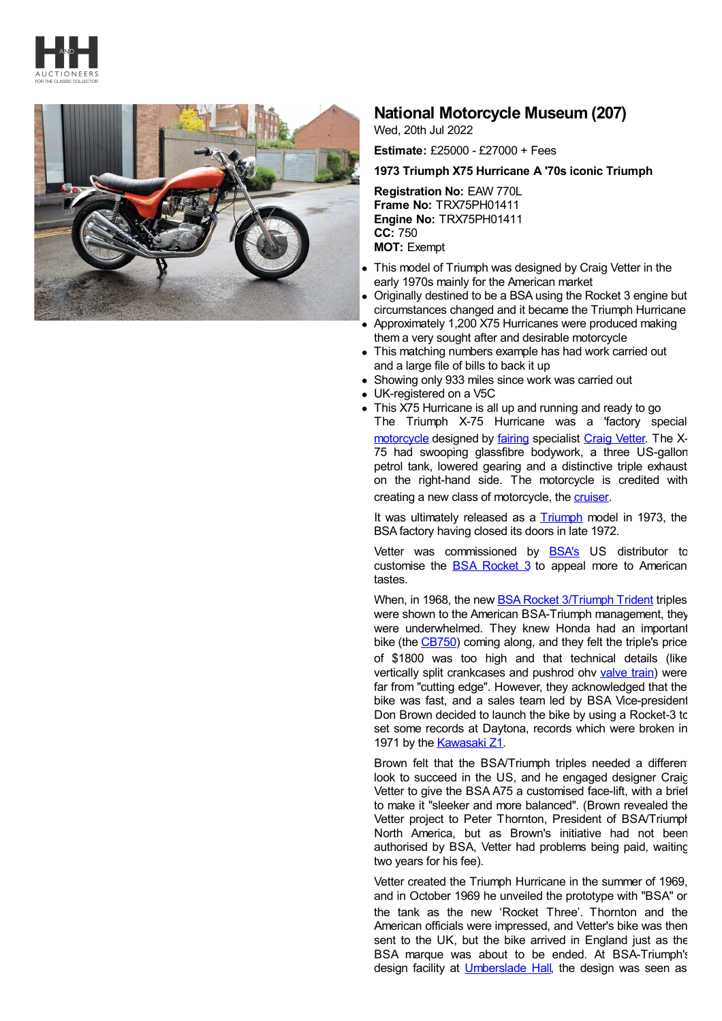



## **National Motorcycle Museum (207)**

Wed, 20th Jul 2022

**Estimate:** £25000 - £27000 + Fees

## **1973 Triumph X75 Hurricane A '70s iconic Triumph**

**Registration No:** EAW 770L **Frame No:** TRX75PH01411 **Engine No:** TRX75PH01411 **CC:** 750 **MOT:** Exempt

- This model of Triumph was designed by Craig Vetter in the early 1970s mainly for the American market
- Originally destined to be a BSA using the Rocket 3 engine but circumstances changed and it became the Triumph Hurricane
- Approximately 1,200 X75 Hurricanes were produced making them a very sought after and desirable motorcycle
- This matching numbers example has had work carried out and a large file of bills to back it up
- Showing only 933 miles since work was carried out
- UK-registered on a V5C
- This X75 Hurricane is all up and running and ready to go The Triumph X-75 Hurricane was a 'factory special' [motorcycle](https://en.wikipedia.org/wiki/Motorcycle) designed by [fairing](https://en.wikipedia.org/wiki/Motorcycle_fairing) specialist Craig [Vetter](https://en.wikipedia.org/wiki/Craig_Vetter). The X-75 had swooping glassfibre bodywork, a three US-gallon petrol tank, lowered gearing and a distinctive triple exhaust on the right-hand side. The motorcycle is credited with creating a new class of motorcycle, the [cruiser](https://en.wikipedia.org/wiki/Cruiser_(motorcycle)).

It was ultimately released as a [Triumph](https://en.wikipedia.org/wiki/Triumph_Engineering) model in 1973, the BSA factory having closed its doors in late 1972.

Vetter was commissioned by [BSA's](https://en.wikipedia.org/wiki/Birmingham_Small_Arms_Company) US distributor to customise the BSA [Rocket](https://en.wikipedia.org/wiki/BSA_Rocket_3/Triumph_Trident) 3 to appeal more to American tastes.

When, in 1968, the new **BSA Rocket [3/Triumph](https://en.wikipedia.org/wiki/BSA_Rocket_3/Triumph_Trident) Trident triples** were shown to the American BSA-Triumph management, they were underwhelmed. They knew Honda had an important bike (the [CB750](https://en.wikipedia.org/wiki/Honda_CB750)) coming along, and they felt the triple's price of \$1800 was too high and that technical details (like vertically split crankcases and pushrod ohv [valve](https://en.wikipedia.org/wiki/Valve_train) train) were far from "cutting edge". However, they acknowledged that the bike was fast, and a sales team led by BSA Vice-president Don Brown decided to launch the bike by using a Rocket-3 to set some records at Daytona, records which were broken in 1971 by the [Kawasaki](https://en.wikipedia.org/wiki/Kawasaki_Z1) Z1.

Brown felt that the BSA/Triumph triples needed a different look to succeed in the US, and he engaged designer Craig Vetter to give the BSA A75 a customised face-lift, with a brief to make it "sleeker and more balanced". (Brown revealed the Vetter project to Peter Thornton, President of BSA/Triumph North America, but as Brown's initiative had not been authorised by BSA, Vetter had problems being paid, waiting two years for his fee).

Vetter created the Triumph Hurricane in the summer of 1969, and in October 1969 he unveiled the prototype with "BSA" on the tank as the new 'Rocket Three'. Thornton and the American officials were impressed, and Vetter's bike was then sent to the UK, but the bike arrived in England just as the BSA marque was about to be ended. At BSA-Triumph's design facility at [Umberslade](https://en.wikipedia.org/wiki/Umberslade_Hall) Hall, the design was seen as